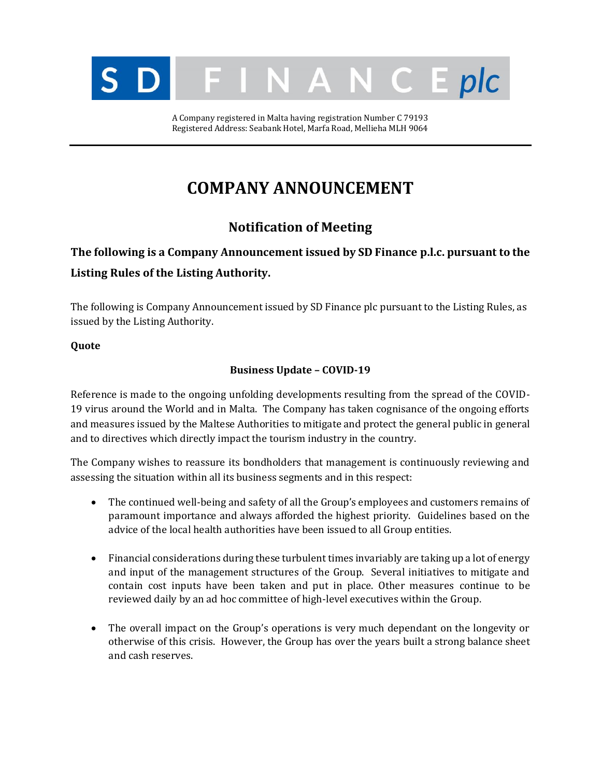

A Company registered in Malta having registration Number C 79193 Registered Address: Seabank Hotel, Marfa Road, Mellieha MLH 9064

# **COMPANY ANNOUNCEMENT**

### **Notification of Meeting**

## **The following is a Company Announcement issued by SD Finance p.l.c. pursuant to the Listing Rules of the Listing Authority.**

The following is Company Announcement issued by SD Finance plc pursuant to the Listing Rules, as issued by the Listing Authority.

### **Quote**

### **Business Update – COVID-19**

Reference is made to the ongoing unfolding developments resulting from the spread of the COVID-19 virus around the World and in Malta. The Company has taken cognisance of the ongoing efforts and measures issued by the Maltese Authorities to mitigate and protect the general public in general and to directives which directly impact the tourism industry in the country.

The Company wishes to reassure its bondholders that management is continuously reviewing and assessing the situation within all its business segments and in this respect:

- The continued well-being and safety of all the Group's employees and customers remains of paramount importance and always afforded the highest priority. Guidelines based on the advice of the local health authorities have been issued to all Group entities.
- Financial considerations during these turbulent times invariably are taking up a lot of energy and input of the management structures of the Group. Several initiatives to mitigate and contain cost inputs have been taken and put in place. Other measures continue to be reviewed daily by an ad hoc committee of high-level executives within the Group.
- The overall impact on the Group's operations is very much dependant on the longevity or otherwise of this crisis. However, the Group has over the years built a strong balance sheet and cash reserves.